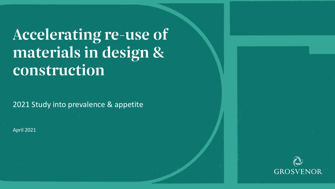# **Accelerating re-use of** materials in design & construction

2021 Study into prevalence & appetite

April 2021

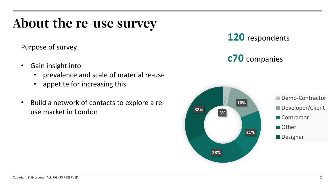#### About the re-use survey

Purpose of survey

- Gain insight into
	- prevalence and scale of material re-use
	- appetite for increasing this
- Build a network of contacts to explore a reuse market in London



#### **c70** companies

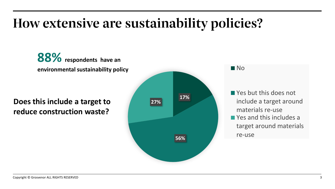#### How extensive are sustainability policies?

**88% respondents have an environmental sustainability policy**

**Does this include a target to reduce construction waste?**



**No** 

**Notabut this does not** include a target around materials re-use

**Notify Yes and this includes a** target around materials re-use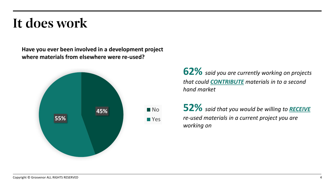#### It does work

**Have you ever been involved in a development project where materials from elsewhere were re-used?**



**62%** *said you are currently working on projects that could CONTRIBUTE materials in to a second hand market* 

**52%** *said that you would be willing to RECEIVE re-used materials in a current project you are working on*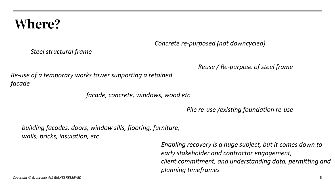#### Where?

#### *Concrete re-purposed (not downcycled)*

*Steel structural frame*

*Reuse / Re-purpose of steel frame*

*Re-use of a temporary works tower supporting a retained facade*

*facade, concrete, windows, wood etc*

*Pile re-use /existing foundation re-use*

*building facades, doors, window sills, flooring, furniture, walls, bricks, insulation, etc*

> *Enabling recovery is a huge subject, but it comes down to early stakeholder and contractor engagement, client commitment, and understanding data, permitting and planning timeframes*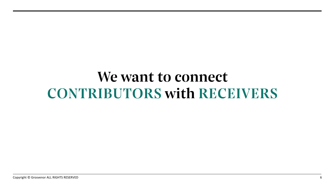## We want to connect **CONTRIBUTORS with RECEIVERS**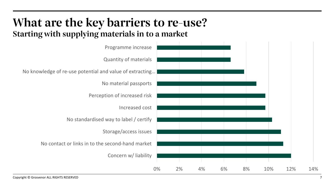#### What are the key barriers to re-use? Starting with supplying materials in to a market

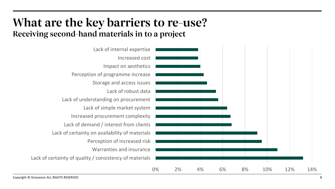#### What are the key barriers to re-use? Receiving second-hand materials in to a project

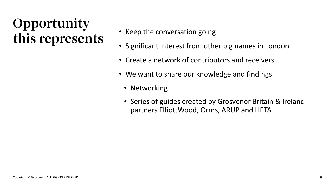### Opportunity this represents

- Keep the conversation going
- Significant interest from other big names in London
- Create a network of contributors and receivers
- We want to share our knowledge and findings
	- Networking
	- Series of guides created by Grosvenor Britain & Ireland partners ElliottWood, Orms, ARUP and HETA